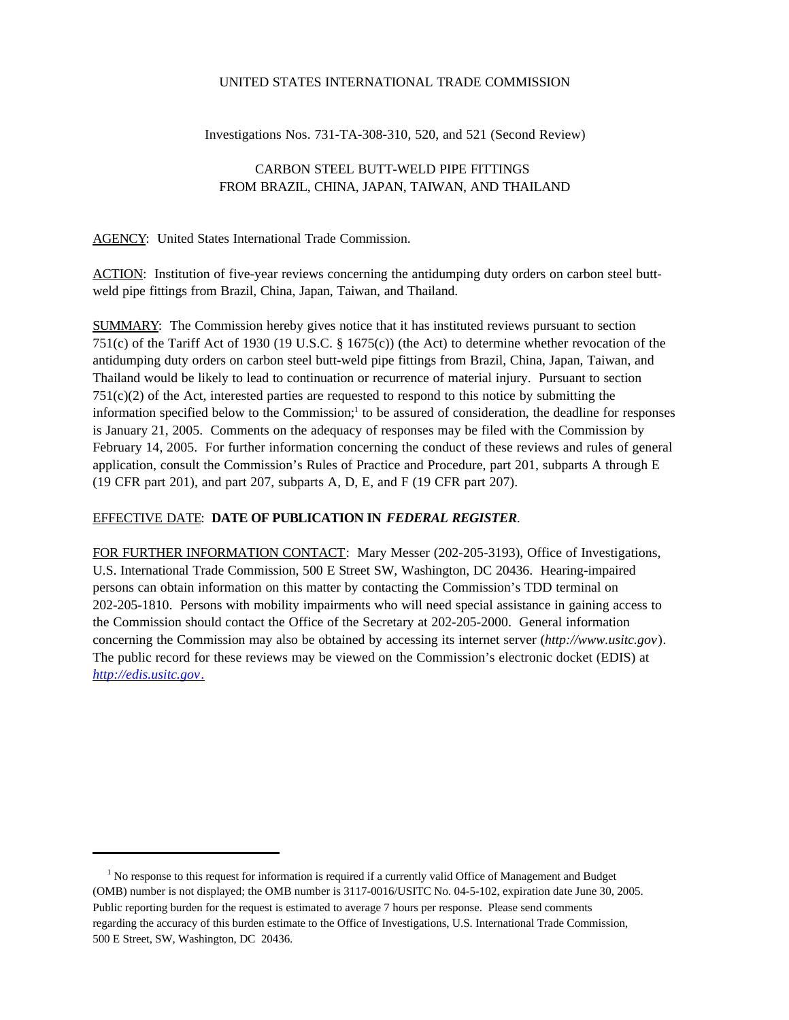### UNITED STATES INTERNATIONAL TRADE COMMISSION

Investigations Nos. 731-TA-308-310, 520, and 521 (Second Review)

# CARBON STEEL BUTT-WELD PIPE FITTINGS FROM BRAZIL, CHINA, JAPAN, TAIWAN, AND THAILAND

### AGENCY: United States International Trade Commission.

ACTION: Institution of five-year reviews concerning the antidumping duty orders on carbon steel buttweld pipe fittings from Brazil, China, Japan, Taiwan, and Thailand.

SUMMARY: The Commission hereby gives notice that it has instituted reviews pursuant to section 751(c) of the Tariff Act of 1930 (19 U.S.C. § 1675(c)) (the Act) to determine whether revocation of the antidumping duty orders on carbon steel butt-weld pipe fittings from Brazil, China, Japan, Taiwan, and Thailand would be likely to lead to continuation or recurrence of material injury. Pursuant to section 751(c)(2) of the Act, interested parties are requested to respond to this notice by submitting the information specified below to the Commission;<sup>1</sup> to be assured of consideration, the deadline for responses is January 21, 2005. Comments on the adequacy of responses may be filed with the Commission by February 14, 2005. For further information concerning the conduct of these reviews and rules of general application, consult the Commission's Rules of Practice and Procedure, part 201, subparts A through E (19 CFR part 201), and part 207, subparts A, D, E, and F (19 CFR part 207).

## EFFECTIVE DATE: **DATE OF PUBLICATION IN** *FEDERAL REGISTER*.

FOR FURTHER INFORMATION CONTACT: Mary Messer (202-205-3193), Office of Investigations, U.S. International Trade Commission, 500 E Street SW, Washington, DC 20436. Hearing-impaired persons can obtain information on this matter by contacting the Commission's TDD terminal on 202-205-1810. Persons with mobility impairments who will need special assistance in gaining access to the Commission should contact the Office of the Secretary at 202-205-2000. General information concerning the Commission may also be obtained by accessing its internet server (*http://www.usitc.gov*). The public record for these reviews may be viewed on the Commission's electronic docket (EDIS) at *http://edis.usitc.gov*.

<sup>&</sup>lt;sup>1</sup> No response to this request for information is required if a currently valid Office of Management and Budget (OMB) number is not displayed; the OMB number is 3117-0016/USITC No. 04-5-102, expiration date June 30, 2005. Public reporting burden for the request is estimated to average 7 hours per response. Please send comments regarding the accuracy of this burden estimate to the Office of Investigations, U.S. International Trade Commission, 500 E Street, SW, Washington, DC 20436.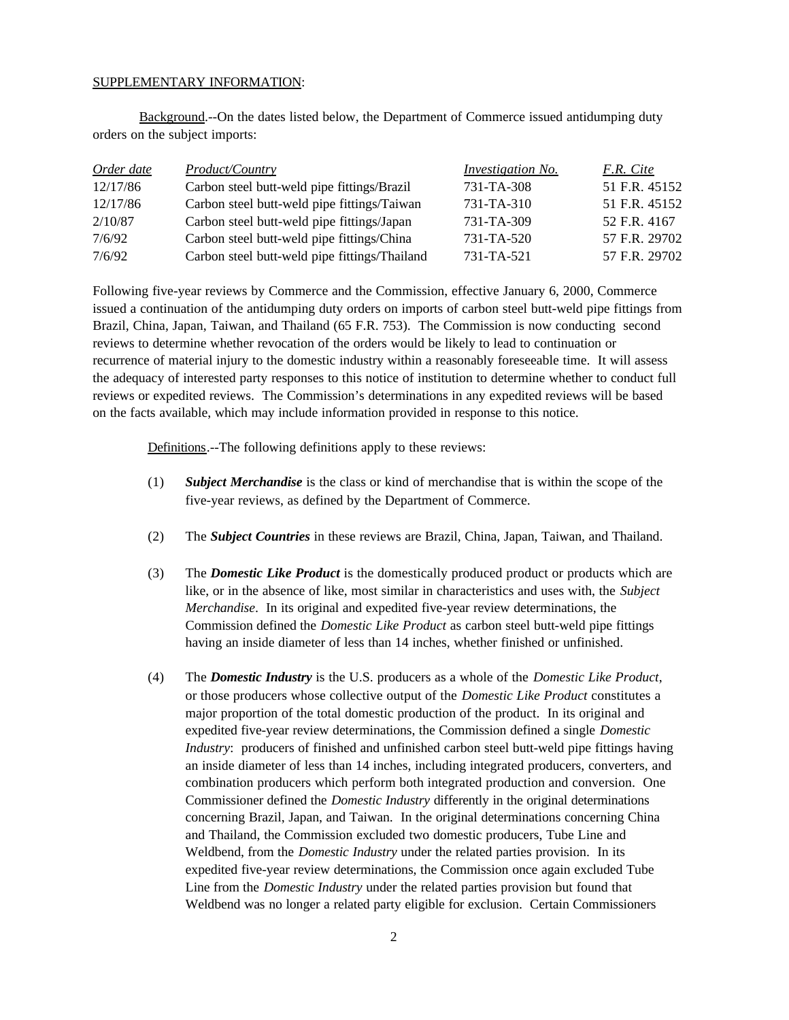#### SUPPLEMENTARY INFORMATION:

Background.--On the dates listed below, the Department of Commerce issued antidumping duty orders on the subject imports:

| Order date | <i>Product/Country</i>                        | <b>Investigation No.</b> | F.R. Cite     |
|------------|-----------------------------------------------|--------------------------|---------------|
| 12/17/86   | Carbon steel butt-weld pipe fittings/Brazil   | 731-TA-308               | 51 F.R. 45152 |
| 12/17/86   | Carbon steel butt-weld pipe fittings/Taiwan   | 731-TA-310               | 51 F.R. 45152 |
| 2/10/87    | Carbon steel butt-weld pipe fittings/Japan    | 731-TA-309               | 52 F.R. 4167  |
| 7/6/92     | Carbon steel butt-weld pipe fittings/China    | 731-TA-520               | 57 F.R. 29702 |
| 7/6/92     | Carbon steel butt-weld pipe fittings/Thailand | 731-TA-521               | 57 F.R. 29702 |

Following five-year reviews by Commerce and the Commission, effective January 6, 2000, Commerce issued a continuation of the antidumping duty orders on imports of carbon steel butt-weld pipe fittings from Brazil, China, Japan, Taiwan, and Thailand (65 F.R. 753). The Commission is now conducting second reviews to determine whether revocation of the orders would be likely to lead to continuation or recurrence of material injury to the domestic industry within a reasonably foreseeable time. It will assess the adequacy of interested party responses to this notice of institution to determine whether to conduct full reviews or expedited reviews. The Commission's determinations in any expedited reviews will be based on the facts available, which may include information provided in response to this notice.

Definitions.--The following definitions apply to these reviews:

- (1) *Subject Merchandise* is the class or kind of merchandise that is within the scope of the five-year reviews, as defined by the Department of Commerce.
- (2) The *Subject Countries* in these reviews are Brazil, China, Japan, Taiwan, and Thailand.
- (3) The *Domestic Like Product* is the domestically produced product or products which are like, or in the absence of like, most similar in characteristics and uses with, the *Subject Merchandise*. In its original and expedited five-year review determinations, the Commission defined the *Domestic Like Product* as carbon steel butt-weld pipe fittings having an inside diameter of less than 14 inches, whether finished or unfinished.
- (4) The *Domestic Industry* is the U.S. producers as a whole of the *Domestic Like Product*, or those producers whose collective output of the *Domestic Like Product* constitutes a major proportion of the total domestic production of the product. In its original and expedited five-year review determinations, the Commission defined a single *Domestic Industry*: producers of finished and unfinished carbon steel butt-weld pipe fittings having an inside diameter of less than 14 inches, including integrated producers, converters, and combination producers which perform both integrated production and conversion. One Commissioner defined the *Domestic Industry* differently in the original determinations concerning Brazil, Japan, and Taiwan. In the original determinations concerning China and Thailand, the Commission excluded two domestic producers, Tube Line and Weldbend, from the *Domestic Industry* under the related parties provision. In its expedited five-year review determinations, the Commission once again excluded Tube Line from the *Domestic Industry* under the related parties provision but found that Weldbend was no longer a related party eligible for exclusion. Certain Commissioners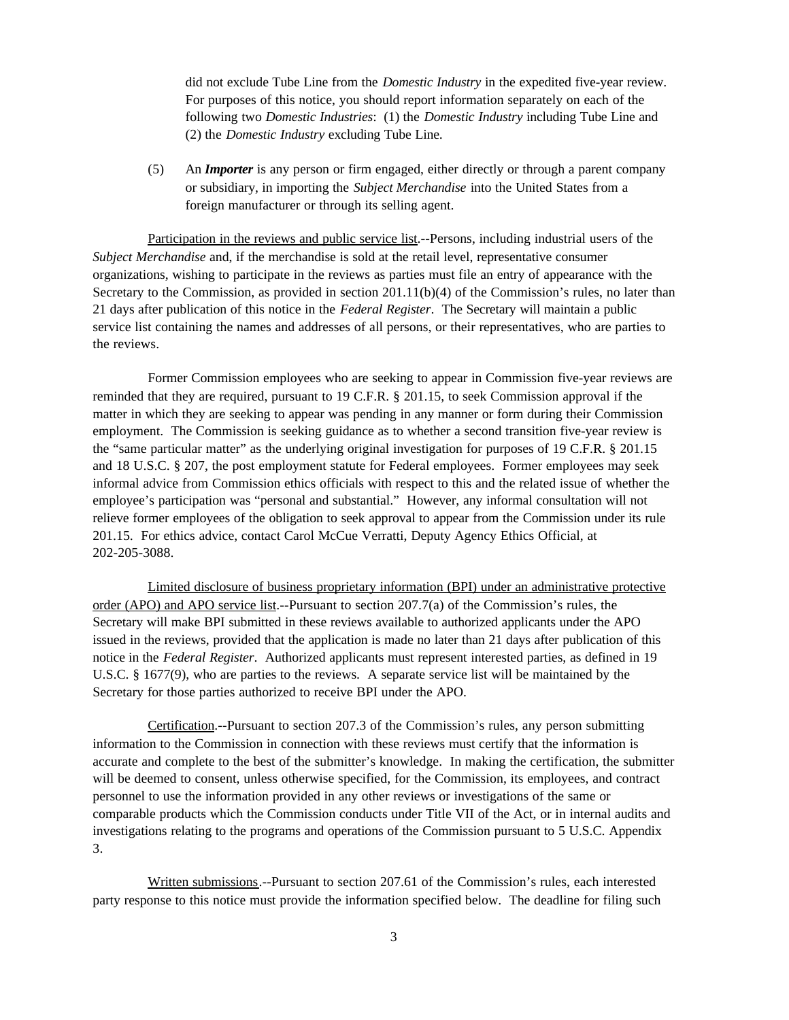did not exclude Tube Line from the *Domestic Industry* in the expedited five-year review. For purposes of this notice, you should report information separately on each of the following two *Domestic Industries*: (1) the *Domestic Industry* including Tube Line and (2) the *Domestic Industry* excluding Tube Line.

(5) An *Importer* is any person or firm engaged, either directly or through a parent company or subsidiary, in importing the *Subject Merchandise* into the United States from a foreign manufacturer or through its selling agent.

Participation in the reviews and public service list.--Persons, including industrial users of the *Subject Merchandise* and, if the merchandise is sold at the retail level, representative consumer organizations, wishing to participate in the reviews as parties must file an entry of appearance with the Secretary to the Commission, as provided in section 201.11(b)(4) of the Commission's rules, no later than 21 days after publication of this notice in the *Federal Register*. The Secretary will maintain a public service list containing the names and addresses of all persons, or their representatives, who are parties to the reviews.

Former Commission employees who are seeking to appear in Commission five-year reviews are reminded that they are required, pursuant to 19 C.F.R. § 201.15, to seek Commission approval if the matter in which they are seeking to appear was pending in any manner or form during their Commission employment. The Commission is seeking guidance as to whether a second transition five-year review is the "same particular matter" as the underlying original investigation for purposes of 19 C.F.R. § 201.15 and 18 U.S.C. § 207, the post employment statute for Federal employees. Former employees may seek informal advice from Commission ethics officials with respect to this and the related issue of whether the employee's participation was "personal and substantial." However, any informal consultation will not relieve former employees of the obligation to seek approval to appear from the Commission under its rule 201.15. For ethics advice, contact Carol McCue Verratti, Deputy Agency Ethics Official, at 202-205-3088.

Limited disclosure of business proprietary information (BPI) under an administrative protective order (APO) and APO service list.--Pursuant to section 207.7(a) of the Commission's rules, the Secretary will make BPI submitted in these reviews available to authorized applicants under the APO issued in the reviews, provided that the application is made no later than 21 days after publication of this notice in the *Federal Register*. Authorized applicants must represent interested parties, as defined in 19 U.S.C. § 1677(9), who are parties to the reviews. A separate service list will be maintained by the Secretary for those parties authorized to receive BPI under the APO.

Certification.--Pursuant to section 207.3 of the Commission's rules, any person submitting information to the Commission in connection with these reviews must certify that the information is accurate and complete to the best of the submitter's knowledge. In making the certification, the submitter will be deemed to consent, unless otherwise specified, for the Commission, its employees, and contract personnel to use the information provided in any other reviews or investigations of the same or comparable products which the Commission conducts under Title VII of the Act, or in internal audits and investigations relating to the programs and operations of the Commission pursuant to 5 U.S.C. Appendix 3.

Written submissions.--Pursuant to section 207.61 of the Commission's rules, each interested party response to this notice must provide the information specified below. The deadline for filing such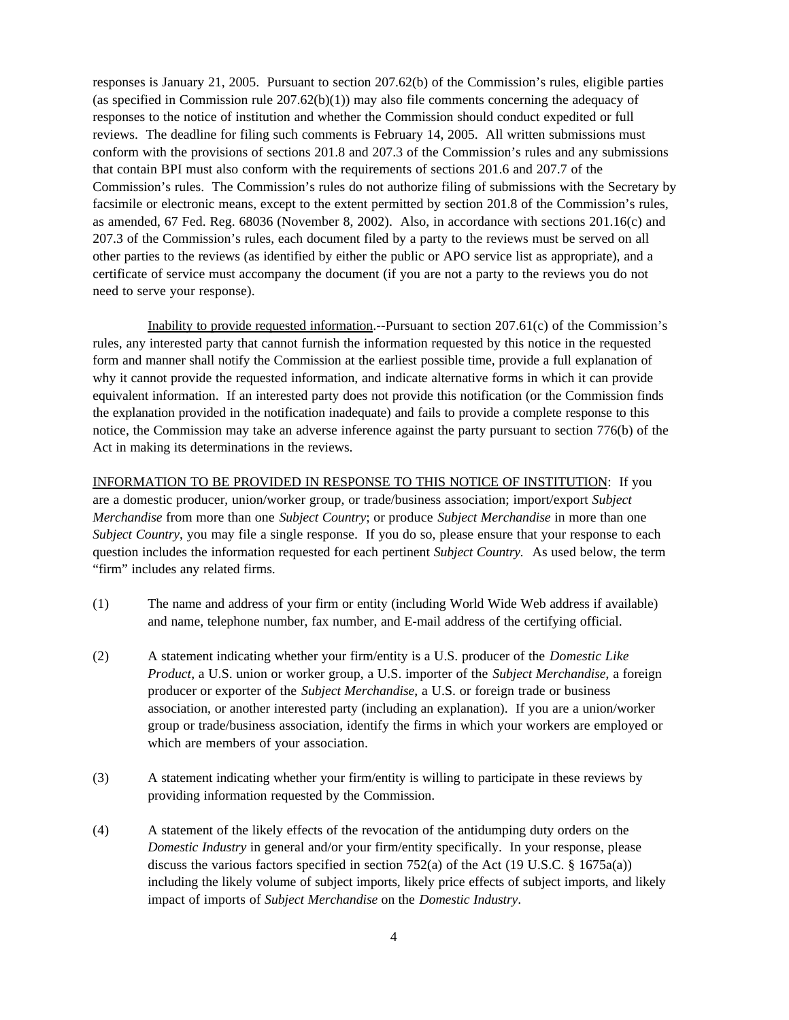responses is January 21, 2005. Pursuant to section 207.62(b) of the Commission's rules, eligible parties (as specified in Commission rule  $207.62(b)(1)$ ) may also file comments concerning the adequacy of responses to the notice of institution and whether the Commission should conduct expedited or full reviews. The deadline for filing such comments is February 14, 2005. All written submissions must conform with the provisions of sections 201.8 and 207.3 of the Commission's rules and any submissions that contain BPI must also conform with the requirements of sections 201.6 and 207.7 of the Commission's rules. The Commission's rules do not authorize filing of submissions with the Secretary by facsimile or electronic means, except to the extent permitted by section 201.8 of the Commission's rules, as amended, 67 Fed. Reg. 68036 (November 8, 2002). Also, in accordance with sections 201.16(c) and 207.3 of the Commission's rules, each document filed by a party to the reviews must be served on all other parties to the reviews (as identified by either the public or APO service list as appropriate), and a certificate of service must accompany the document (if you are not a party to the reviews you do not need to serve your response).

Inability to provide requested information.--Pursuant to section 207.61(c) of the Commission's rules, any interested party that cannot furnish the information requested by this notice in the requested form and manner shall notify the Commission at the earliest possible time, provide a full explanation of why it cannot provide the requested information, and indicate alternative forms in which it can provide equivalent information. If an interested party does not provide this notification (or the Commission finds the explanation provided in the notification inadequate) and fails to provide a complete response to this notice, the Commission may take an adverse inference against the party pursuant to section 776(b) of the Act in making its determinations in the reviews.

INFORMATION TO BE PROVIDED IN RESPONSE TO THIS NOTICE OF INSTITUTION: If you are a domestic producer, union/worker group, or trade/business association; import/export *Subject Merchandise* from more than one *Subject Country*; or produce *Subject Merchandise* in more than one *Subject Country*, you may file a single response. If you do so, please ensure that your response to each question includes the information requested for each pertinent *Subject Country.* As used below, the term "firm" includes any related firms.

- (1) The name and address of your firm or entity (including World Wide Web address if available) and name, telephone number, fax number, and E-mail address of the certifying official.
- (2) A statement indicating whether your firm/entity is a U.S. producer of the *Domestic Like Product*, a U.S. union or worker group, a U.S. importer of the *Subject Merchandise*, a foreign producer or exporter of the *Subject Merchandise*, a U.S. or foreign trade or business association, or another interested party (including an explanation). If you are a union/worker group or trade/business association, identify the firms in which your workers are employed or which are members of your association.
- (3) A statement indicating whether your firm/entity is willing to participate in these reviews by providing information requested by the Commission.
- (4) A statement of the likely effects of the revocation of the antidumping duty orders on the *Domestic Industry* in general and/or your firm/entity specifically. In your response, please discuss the various factors specified in section 752(a) of the Act (19 U.S.C. § 1675a(a)) including the likely volume of subject imports, likely price effects of subject imports, and likely impact of imports of *Subject Merchandise* on the *Domestic Industry*.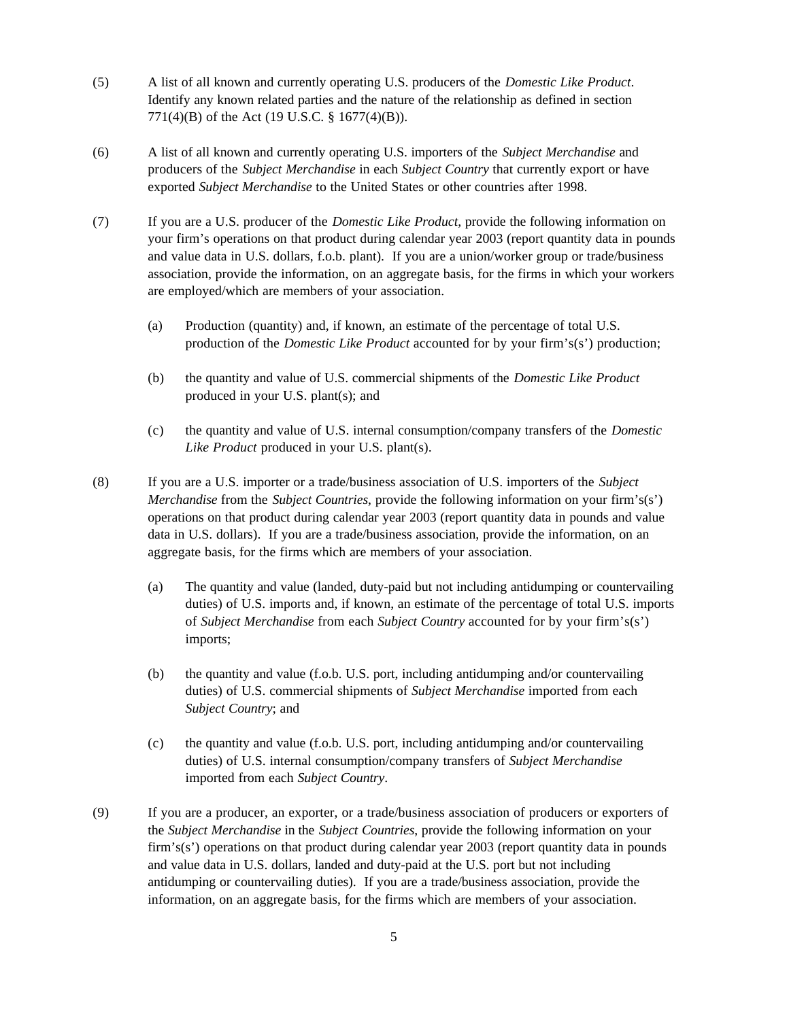- (5) A list of all known and currently operating U.S. producers of the *Domestic Like Product*. Identify any known related parties and the nature of the relationship as defined in section 771(4)(B) of the Act (19 U.S.C. § 1677(4)(B)).
- (6) A list of all known and currently operating U.S. importers of the *Subject Merchandise* and producers of the *Subject Merchandise* in each *Subject Country* that currently export or have exported *Subject Merchandise* to the United States or other countries after 1998.
- (7) If you are a U.S. producer of the *Domestic Like Product*, provide the following information on your firm's operations on that product during calendar year 2003 (report quantity data in pounds and value data in U.S. dollars, f.o.b. plant). If you are a union/worker group or trade/business association, provide the information, on an aggregate basis, for the firms in which your workers are employed/which are members of your association.
	- (a) Production (quantity) and, if known, an estimate of the percentage of total U.S. production of the *Domestic Like Product* accounted for by your firm's(s') production;
	- (b) the quantity and value of U.S. commercial shipments of the *Domestic Like Product* produced in your U.S. plant(s); and
	- (c) the quantity and value of U.S. internal consumption/company transfers of the *Domestic Like Product* produced in your U.S. plant(s).
- (8) If you are a U.S. importer or a trade/business association of U.S. importers of the *Subject Merchandise* from the *Subject Countries*, provide the following information on your firm's(s') operations on that product during calendar year 2003 (report quantity data in pounds and value data in U.S. dollars). If you are a trade/business association, provide the information, on an aggregate basis, for the firms which are members of your association.
	- (a) The quantity and value (landed, duty-paid but not including antidumping or countervailing duties) of U.S. imports and, if known, an estimate of the percentage of total U.S. imports of *Subject Merchandise* from each *Subject Country* accounted for by your firm's(s') imports;
	- (b) the quantity and value (f.o.b. U.S. port, including antidumping and/or countervailing duties) of U.S. commercial shipments of *Subject Merchandise* imported from each *Subject Country*; and
	- (c) the quantity and value (f.o.b. U.S. port, including antidumping and/or countervailing duties) of U.S. internal consumption/company transfers of *Subject Merchandise* imported from each *Subject Country*.
- (9) If you are a producer, an exporter, or a trade/business association of producers or exporters of the *Subject Merchandise* in the *Subject Countries*, provide the following information on your firm's(s') operations on that product during calendar year 2003 (report quantity data in pounds and value data in U.S. dollars, landed and duty-paid at the U.S. port but not including antidumping or countervailing duties). If you are a trade/business association, provide the information, on an aggregate basis, for the firms which are members of your association.